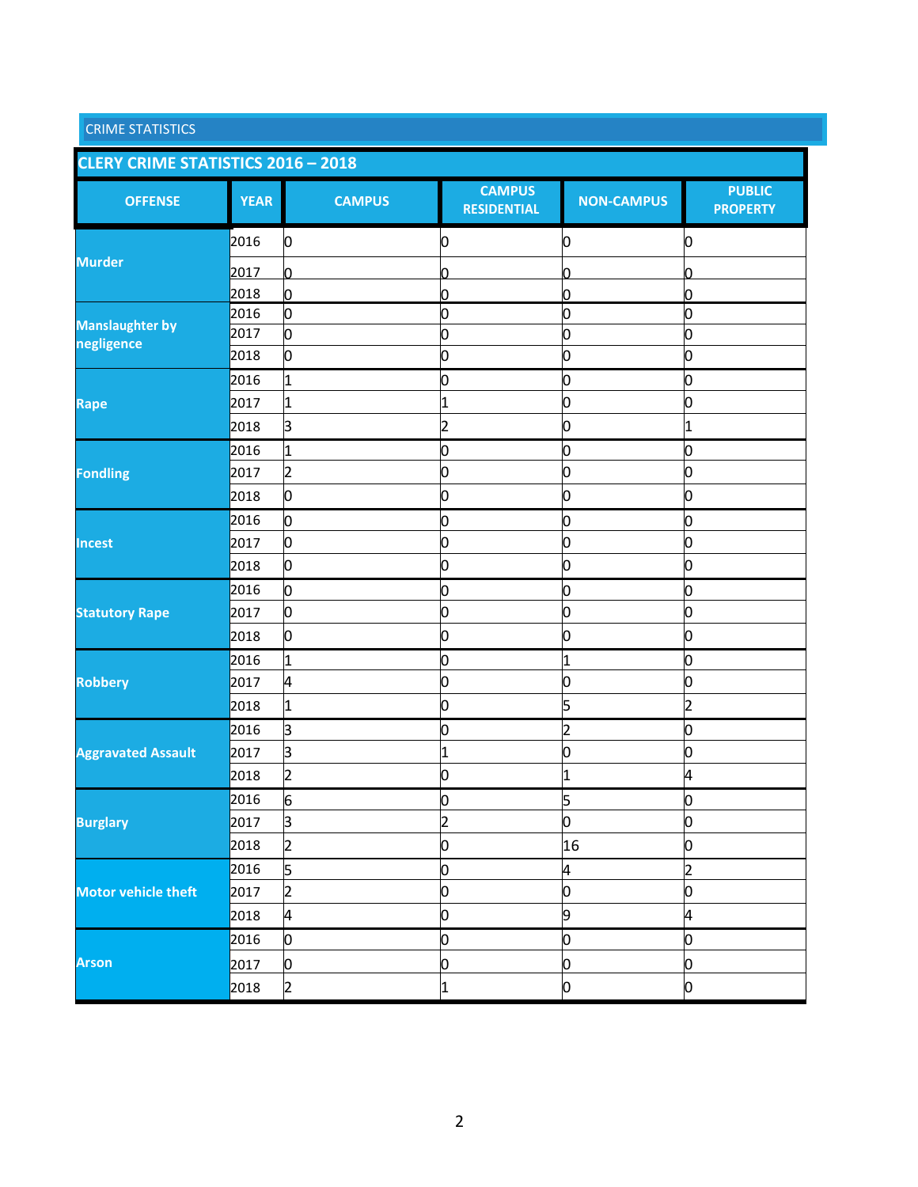| <b>CRIME STATISTICS</b>                   |             |                |                                     |                   |                                  |
|-------------------------------------------|-------------|----------------|-------------------------------------|-------------------|----------------------------------|
| <b>CLERY CRIME STATISTICS 2016 - 2018</b> |             |                |                                     |                   |                                  |
| <b>OFFENSE</b>                            | <b>YEAR</b> | <b>CAMPUS</b>  | <b>CAMPUS</b><br><b>RESIDENTIAL</b> | <b>NON-CAMPUS</b> | <b>PUBLIC</b><br><b>PROPERTY</b> |
|                                           | 2016        | 0              | 0                                   | 0                 | 0                                |
| <b>Murder</b>                             | 2017        | n              | n                                   | ი                 | ი                                |
|                                           | 2018        | 0              | 0                                   | 0                 | 0                                |
|                                           | 2016        | o              | Ю                                   | 0                 | 0                                |
| <b>Manslaughter by</b><br>negligence      | 2017        | О              | 0                                   | 0                 | 0                                |
|                                           | 2018        | О              | 0                                   | 0                 | 0                                |
|                                           | 2016        | 1              | 0                                   | 0                 | 0                                |
| <b>Rape</b>                               | 2017        | 1              | 1                                   | 0                 | 0                                |
|                                           | 2018        | з              | $\overline{2}$                      | 0                 | 1                                |
|                                           | 2016        | 1              | 0                                   | 0                 | 0                                |
| <b>Fondling</b>                           | 2017        | 2              | 0                                   | 0                 | 0                                |
|                                           | 2018        | 0              | 0                                   | 0                 | 0                                |
|                                           | 2016        | o              | 0                                   | 0                 | 0                                |
| <b>Incest</b>                             | 2017        | 0              | 0                                   | 0                 | 0                                |
|                                           | 2018        | 0              | 0                                   | 0                 | 0                                |
|                                           | 2016        | О              | 0                                   | 0                 | 0                                |
| <b>Statutory Rape</b>                     | 2017        | 0              | 0                                   | 0                 | 0                                |
|                                           | 2018        | 0              | 0                                   | 0                 | 0                                |
|                                           | 2016        | 1              | Ю                                   | 1                 | 0                                |
| <b>Robbery</b>                            | 2017        | 4              | 0                                   | 0                 | 0                                |
|                                           | 2018        | 1              | 0                                   | 5                 | 2                                |
|                                           | 2016        | 3              | 0                                   | $\overline{c}$    | 0                                |
| <b>Aggravated Assault</b>                 | 2017        | з              | 1                                   | 0                 | 0                                |
|                                           | 2018        | 2              | O                                   | 1                 | 4                                |
|                                           | 2016        | 6              | 0                                   | 5                 | 0                                |
| <b>Burglary</b>                           | 2017        | β              | $\overline{c}$                      | 0                 | 0                                |
|                                           | 2018        | 2              | 0                                   | 16                | 0                                |
|                                           | 2016        | 5              | 0                                   | 4                 | $\overline{2}$                   |
| <b>Motor vehicle theft</b>                | 2017        | 2              | 0                                   | 0                 | 0                                |
|                                           | 2018        | þ.             | 0                                   | 9                 | 4                                |
|                                           | 2016        | 0              | 0                                   | 0                 | 0                                |
| <b>Arson</b>                              | 2017        | 0              | 0                                   | 0                 | 0                                |
|                                           | 2018        | $\overline{2}$ | $\overline{1}$                      | o                 | 0                                |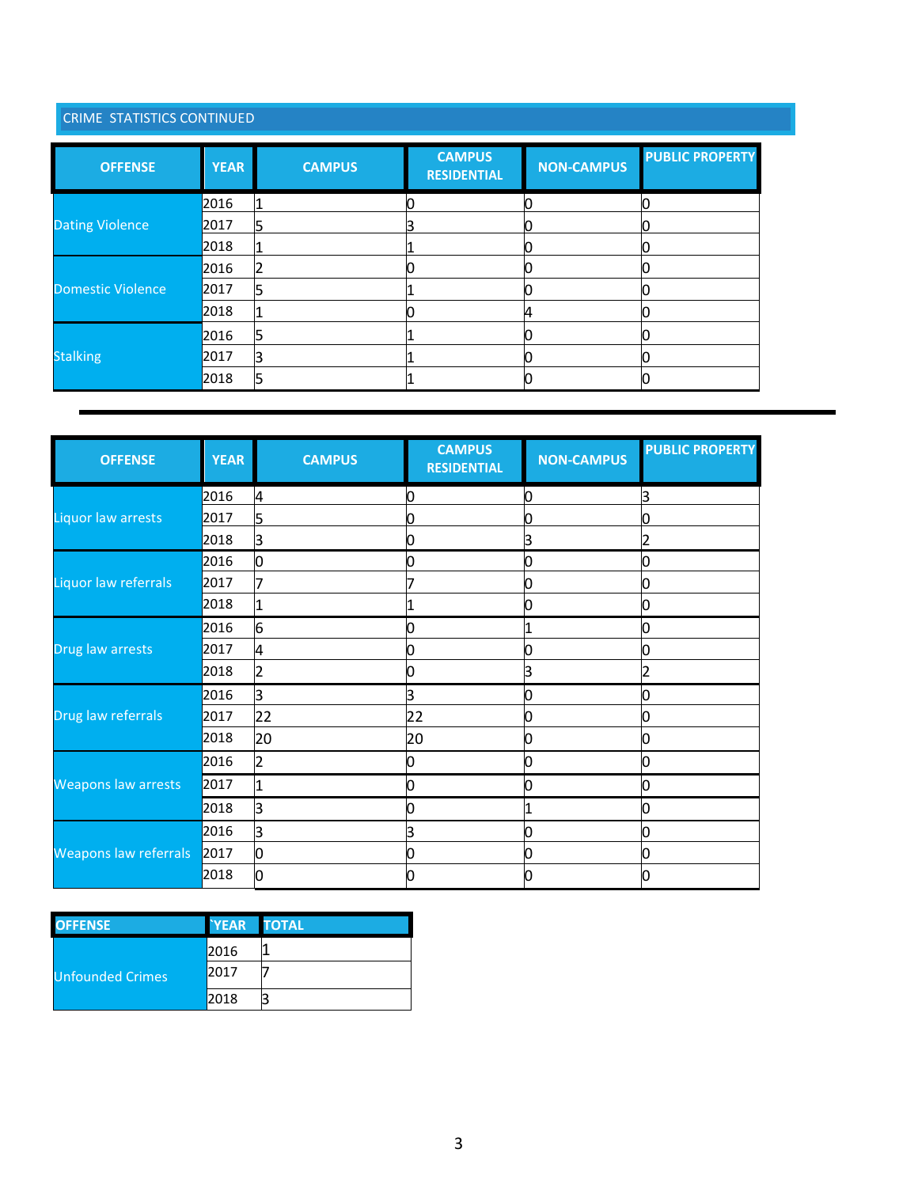## CRIME STATISTICS CONTINUED

| <b>OFFENSE</b>         | <b>YEAR</b> | <b>CAMPUS</b> | <b>CAMPUS</b><br><b>RESIDENTIAL</b> | <b>NON-CAMPUS</b> | <b>PUBLIC PROPERTY</b> |
|------------------------|-------------|---------------|-------------------------------------|-------------------|------------------------|
|                        | 2016        |               |                                     |                   |                        |
| <b>Dating Violence</b> | 2017        |               |                                     |                   |                        |
|                        | 2018        |               |                                     |                   |                        |
|                        | 2016        |               |                                     |                   |                        |
| Domestic Violence      | 2017        |               |                                     |                   |                        |
|                        | 2018        |               |                                     |                   |                        |
|                        | 2016        |               |                                     |                   |                        |
| <b>Stalking</b>        | 2017        |               |                                     |                   |                        |
|                        | 2018        |               |                                     |                   |                        |

| <b>OFFENSE</b>             | <b>YEAR</b> | <b>CAMPUS</b>  | <b>CAMPUS</b><br><b>RESIDENTIAL</b> | <b>NON-CAMPUS</b> | <b>PUBLIC PROPERTY</b> |
|----------------------------|-------------|----------------|-------------------------------------|-------------------|------------------------|
|                            | 2016        | 4              | n                                   | 0                 | З                      |
| Liquor law arrests         | 2017        | 5              |                                     | 0                 |                        |
|                            | 2018        | з              |                                     | 3                 | 2                      |
|                            | 2016        | 0              |                                     | 0                 |                        |
| Liquor law referrals       | 2017        |                |                                     | 0                 |                        |
|                            | 2018        | 1              |                                     | 0                 | 0                      |
|                            | 2016        | 6              |                                     |                   | 0                      |
| Drug law arrests           | 2017        | 4              |                                     | 0                 |                        |
|                            | 2018        | 2              |                                     | 3                 | 2                      |
|                            | 2016        | з              | ß                                   | ი                 |                        |
| Drug law referrals         | 2017        | 22             | 22                                  | 0                 |                        |
|                            | 2018        | 20             | 20                                  | 0                 | Ŋ                      |
|                            | 2016        | $\overline{2}$ |                                     | 0                 | 0                      |
| <b>Weapons law arrests</b> | 2017        | 1              |                                     | 0                 | 0                      |
|                            | 2018        | з              |                                     |                   | 0                      |
|                            | 2016        | З              | 3                                   | 0                 | О                      |
| Weapons law referrals      | 2017        |                |                                     | 0                 |                        |
|                            | 2018        |                |                                     |                   |                        |

| <b>OFFENSE</b>          | <b>YEAR TOTAL</b> |  |
|-------------------------|-------------------|--|
|                         | 2016              |  |
| <b>Unfounded Crimes</b> | 2017              |  |
|                         | 2018              |  |